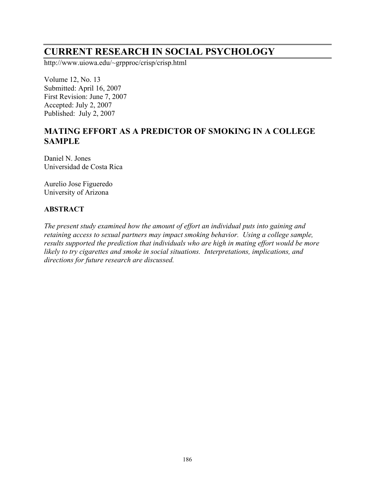# **CURRENT RESEARCH IN SOCIAL PSYCHOLOGY**

http://www.uiowa.edu/~grpproc/crisp/crisp.html

Volume 12, No. 13 Submitted: April 16, 2007 First Revision: June 7, 2007 Accepted: July 2, 2007 Published: July 2, 2007

# **MATING EFFORT AS A PREDICTOR OF SMOKING IN A COLLEGE SAMPLE**

Daniel N. Jones Universidad de Costa Rica

Aurelio Jose Figueredo University of Arizona

#### **ABSTRACT**

*The present study examined how the amount of effort an individual puts into gaining and retaining access to sexual partners may impact smoking behavior. Using a college sample, results supported the prediction that individuals who are high in mating effort would be more likely to try cigarettes and smoke in social situations. Interpretations, implications, and directions for future research are discussed.*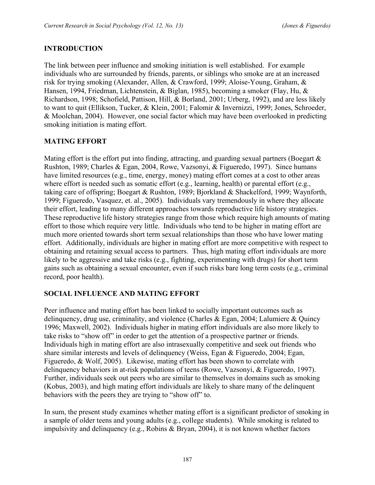# **INTRODUCTION**

The link between peer influence and smoking initiation is well established. For example individuals who are surrounded by friends, parents, or siblings who smoke are at an increased risk for trying smoking (Alexander, Allen, & Crawford, 1999; Aloise-Young, Graham, & Hansen, 1994, Friedman, Lichtenstein, & Biglan, 1985), becoming a smoker (Flay, Hu, & Richardson, 1998; Schofield, Pattison, Hill, & Borland, 2001; Urberg, 1992), and are less likely to want to quit (Ellikson, Tucker, & Klein, 2001; Falomir & Invernizzi, 1999; Jones, Schroeder, & Moolchan, 2004). However, one social factor which may have been overlooked in predicting smoking initiation is mating effort.

# **MATING EFFORT**

Mating effort is the effort put into finding, attracting, and guarding sexual partners (Boegart  $\&$ Rushton, 1989; Charles & Egan, 2004, Rowe, Vazsonyi, & Figueredo, 1997). Since humans have limited resources (e.g., time, energy, money) mating effort comes at a cost to other areas where effort is needed such as somatic effort (e.g., learning, health) or parental effort (e.g., taking care of offspring; Boegart & Rushton, 1989; Bjorkland & Shackelford, 1999; Waynforth, 1999; Figueredo, Vasquez, et. al., 2005). Individuals vary tremendously in where they allocate their effort, leading to many different approaches towards reproductive life history strategies. These reproductive life history strategies range from those which require high amounts of mating effort to those which require very little. Individuals who tend to be higher in mating effort are much more oriented towards short term sexual relationships than those who have lower mating effort. Additionally, individuals are higher in mating effort are more competitive with respect to obtaining and retaining sexual access to partners. Thus, high mating effort individuals are more likely to be aggressive and take risks (e.g., fighting, experimenting with drugs) for short term gains such as obtaining a sexual encounter, even if such risks bare long term costs (e.g., criminal record, poor health).

#### **SOCIAL INFLUENCE AND MATING EFFORT**

Peer influence and mating effort has been linked to socially important outcomes such as delinquency, drug use, criminality, and violence (Charles & Egan, 2004; Lalumiere & Quincy 1996; Maxwell, 2002). Individuals higher in mating effort individuals are also more likely to take risks to "show off" in order to get the attention of a prospective partner or friends. Individuals high in mating effort are also intrasexually competitive and seek out friends who share similar interests and levels of delinquency (Weiss, Egan & Figueredo, 2004; Egan, Figueredo, & Wolf, 2005). Likewise, mating effort has been shown to correlate with delinquency behaviors in at-risk populations of teens (Rowe, Vazsonyi, & Figueredo, 1997). Further, individuals seek out peers who are similar to themselves in domains such as smoking (Kobus, 2003), and high mating effort individuals are likely to share many of the delinquent behaviors with the peers they are trying to "show off" to.

In sum, the present study examines whether mating effort is a significant predictor of smoking in a sample of older teens and young adults (e.g., college students). While smoking is related to impulsivity and delinquency (e.g., Robins & Bryan, 2004), it is not known whether factors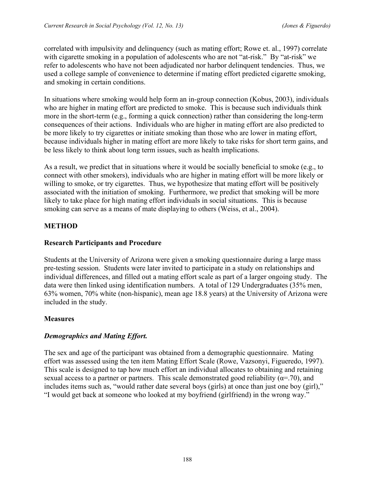correlated with impulsivity and delinquency (such as mating effort; Rowe et. al., 1997) correlate with cigarette smoking in a population of adolescents who are not "at-risk." By "at-risk" we refer to adolescents who have not been adjudicated nor harbor delinquent tendencies. Thus, we used a college sample of convenience to determine if mating effort predicted cigarette smoking, and smoking in certain conditions.

In situations where smoking would help form an in-group connection (Kobus, 2003), individuals who are higher in mating effort are predicted to smoke. This is because such individuals think more in the short-term (e.g., forming a quick connection) rather than considering the long-term consequences of their actions. Individuals who are higher in mating effort are also predicted to be more likely to try cigarettes or initiate smoking than those who are lower in mating effort, because individuals higher in mating effort are more likely to take risks for short term gains, and be less likely to think about long term issues, such as health implications.

As a result, we predict that in situations where it would be socially beneficial to smoke (e.g., to connect with other smokers), individuals who are higher in mating effort will be more likely or willing to smoke, or try cigarettes. Thus, we hypothesize that mating effort will be positively associated with the initiation of smoking. Furthermore, we predict that smoking will be more likely to take place for high mating effort individuals in social situations. This is because smoking can serve as a means of mate displaying to others (Weiss, et al., 2004).

# **METHOD**

#### **Research Participants and Procedure**

Students at the University of Arizona were given a smoking questionnaire during a large mass pre-testing session. Students were later invited to participate in a study on relationships and individual differences, and filled out a mating effort scale as part of a larger ongoing study. The data were then linked using identification numbers. A total of 129 Undergraduates (35% men, 63% women, 70% white (non-hispanic), mean age 18.8 years) at the University of Arizona were included in the study.

#### **Measures**

#### *Demographics and Mating Effort.*

The sex and age of the participant was obtained from a demographic questionnaire. Mating effort was assessed using the ten item Mating Effort Scale (Rowe, Vazsonyi, Figueredo, 1997). This scale is designed to tap how much effort an individual allocates to obtaining and retaining sexual access to a partner or partners. This scale demonstrated good reliability ( $\alpha$ =.70), and includes items such as, "would rather date several boys (girls) at once than just one boy (girl)," "I would get back at someone who looked at my boyfriend (girlfriend) in the wrong way."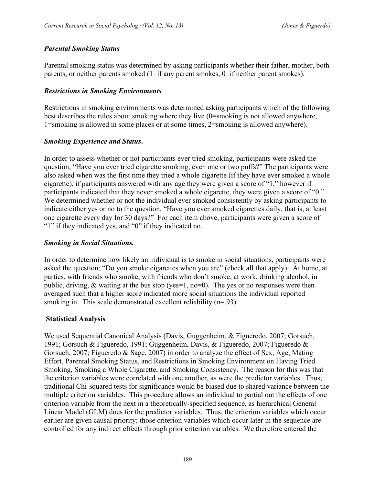# *Parental Smoking Status*

Parental smoking status was determined by asking participants whether their father, mother, both parents, or neither parents smoked  $(1 = if any parent smokes, 0 = if neither parent smokes).$ 

# *Restrictions in Smoking Environments*

Restrictions in smoking environments was determined asking participants which of the following best describes the rules about smoking where they live (0=smoking is not allowed anywhere, 1=smoking is allowed in some places or at some times, 2=smoking is allowed anywhere).

# *Smoking Experience and Status***.**

In order to assess whether or not participants ever tried smoking, participants were asked the question, "Have you ever tried cigarette smoking, even one or two puffs?" The participants were also asked when was the first time they tried a whole cigarette (if they have ever smoked a whole cigarette), if participants answered with any age they were given a score of "1," however if participants indicated that they never smoked a whole cigarette, they were given a score of "0." We determined whether or not the individual ever smoked consistently by asking participants to indicate either yes or no to the question, "Have you ever smoked cigarettes daily, that is, at least one cigarette every day for 30 days?" For each item above, participants were given a score of "1" if they indicated yes, and "0" if they indicated no.

#### *Smoking in Social Situations.*

In order to determine how likely an individual is to smoke in social situations, participants were asked the question; "Do you smoke cigarettes when you are" (check all that apply): At home, at parties, with friends who smoke, with friends who don't smoke, at work, drinking alcohol, in public, driving,  $\&$  waiting at the bus stop (yes=1, no=0). The yes or no responses were then averaged such that a higher score indicated more social situations the individual reported smoking in. This scale demonstrated excellent reliability ( $\alpha$ =.93).

# **Statistical Analysis**

We used Sequential Canonical Analysis (Davis, Guggenheim, & Figueredo, 2007; Gorsuch, 1991; Gorsuch & Figueredo, 1991; Guggenheim, Davis, & Figueredo, 2007; Figueredo & Gorsuch, 2007; Figueredo & Sage, 2007) in order to analyze the effect of Sex, Age, Mating Effort, Parental Smoking Status, and Restrictions in Smoking Environment on Having Tried Smoking, Smoking a Whole Cigarette, and Smoking Consistency. The reason for this was that the criterion variables were correlated with one another, as were the predictor variables. Thus, traditional Chi-squared tests for significance would be biased due to shared variance between the multiple criterion variables. This procedure allows an individual to partial out the effects of one criterion variable from the next in a theoretically-specified sequence, as hierarchical General Linear Model (GLM) does for the predictor variables. Thus, the criterion variables which occur earlier are given causal priority; those criterion variables which occur later in the sequence are controlled for any indirect effects through prior criterion variables. We therefore entered the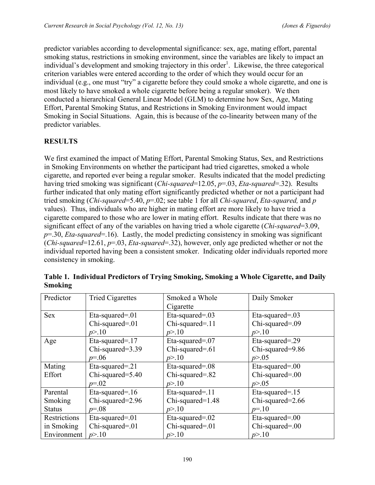predictor variables according to developmental significance: sex, age, mating effort, parental smoking status, restrictions in smoking environment, since the variables are likely to impact an individual's development and smoking trajectory in this order<sup>1</sup>. Likewise, the three categorical criterion variables were entered according to the order of which they would occur for an individual (e.g., one must "try" a cigarette before they could smoke a whole cigarette, and one is most likely to have smoked a whole cigarette before being a regular smoker). We then conducted a hierarchical General Linear Model (GLM) to determine how Sex, Age, Mating Effort, Parental Smoking Status, and Restrictions in Smoking Environment would impact Smoking in Social Situations. Again, this is because of the co-linearity between many of the predictor variables.

# **RESULTS**

We first examined the impact of Mating Effort, Parental Smoking Status, Sex, and Restrictions in Smoking Environments on whether the participant had tried cigarettes, smoked a whole cigarette, and reported ever being a regular smoker. Results indicated that the model predicting having tried smoking was significant (*Chi-squared*=12.05, *p*=.03, *Eta-squared*=.32). Results further indicated that only mating effort significantly predicted whether or not a participant had tried smoking (*Chi-squared*=5.40, *p*=.02; see table 1 for all *Chi-squared*, *Eta-squared,* and *p*  values). Thus, individuals who are higher in mating effort are more likely to have tried a cigarette compared to those who are lower in mating effort. Results indicate that there was no significant effect of any of the variables on having tried a whole cigarette (*Chi-squared*=3.09, *p*=.30, *Eta-squared*=.16). Lastly, the model predicting consistency in smoking was significant (*Chi-squared*=12.61, *p*=.03, *Eta-squared*=.32), however, only age predicted whether or not the individual reported having been a consistent smoker. Indicating older individuals reported more consistency in smoking.

| Predictor     | <b>Tried Cigarettes</b> | Smoked a Whole     | Daily Smoker       |
|---------------|-------------------------|--------------------|--------------------|
|               |                         | Cigarette          |                    |
| <b>Sex</b>    | Eta-squared=.01         | Eta-squared= $.03$ | Eta-squared= $.03$ |
|               | Chi-squared=.01         | Chi-squared=.11    | Chi-squared=.09    |
|               | p > 10                  | p > 10             | p > 10             |
| Age           | Eta-squared=.17         | Eta-squared=.07    | Eta-squared=.29    |
|               | Chi-squared=3.39        | Chi-squared=.61    | Chi-squared=9.86   |
|               | $p = 0.06$              | p > 10             | p > 0.05           |
| Mating        | Eta-squared=.21         | Eta-squared=.08    | Eta-squared= $.00$ |
| Effort        | Chi-squared=5.40        | Chi-squared=.82    | Chi-squared=.00    |
|               | $p = 0.02$              | p > 10             | p > 0.05           |
| Parental      | Eta-squared=.16         | Eta-squared=.11    | Eta-squared=.15    |
| Smoking       | Chi-squared=2.96        | Chi-squared=1.48   | Chi-squared=2.66   |
| <b>Status</b> | $p = 0.08$              | p > 10             | $p=10$             |
| Restrictions  | Eta-squared=.01         | Eta-squared=.02    | Eta-squared= $.00$ |
| in Smoking    | Chi-squared=.01         | Chi-squared=.01    | Chi-squared=.00    |
| Environment   | p > 10                  | p > 10             | p > 10             |

**Table 1. Individual Predictors of Trying Smoking, Smoking a Whole Cigarette, and Daily Smoking**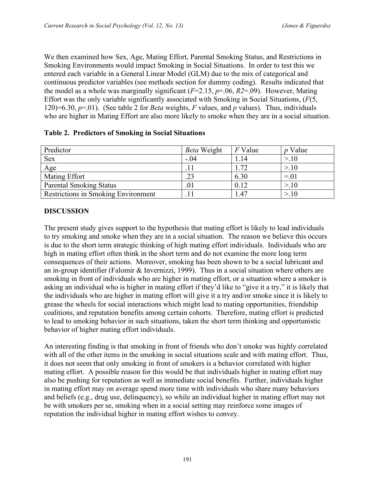We then examined how Sex, Age, Mating Effort, Parental Smoking Status, and Restrictions in Smoking Environments would impact Smoking in Social Situations. In order to test this we entered each variable in a General Linear Model (GLM) due to the mix of categorical and continuous predictor variables (see methods section for dummy coding). Results indicated that the model as a whole was marginally significant (*F*=2.15, *p*=.06, *R2*=.09). However, Mating Effort was the only variable significantly associated with Smoking in Social Situations, (*F*(5, 120)=6.30, *p*=.01). (See table 2 for *Beta* weights, *F* values, and *p* values). Thus, individuals who are higher in Mating Effort are also more likely to smoke when they are in a social situation.

| Predictor                                  | Beta Weight | $F$ Value | $p$ Value |
|--------------------------------------------|-------------|-----------|-----------|
| <b>Sex</b>                                 | $-.04$      | 1.14      | >10       |
| Age                                        |             | 1.72      | >10       |
| <b>Mating Effort</b>                       | .23         | 6.30      | $= 01$    |
| <b>Parental Smoking Status</b>             | .01         | 0.12      | >10       |
| <b>Restrictions in Smoking Environment</b> |             | .47       | >10       |

#### **Table 2. Predictors of Smoking in Social Situations**

#### **DISCUSSION**

The present study gives support to the hypothesis that mating effort is likely to lead individuals to try smoking and smoke when they are in a social situation. The reason we believe this occurs is due to the short term strategic thinking of high mating effort individuals. Individuals who are high in mating effort often think in the short term and do not examine the more long term consequences of their actions. Moreover, smoking has been shown to be a social lubricant and an in-group identifier (Falomir & Invernizzi, 1999). Thus in a social situation where others are smoking in front of individuals who are higher in mating effort, or a situation where a smoker is asking an individual who is higher in mating effort if they'd like to "give it a try," it is likely that the individuals who are higher in mating effort will give it a try and/or smoke since it is likely to grease the wheels for social interactions which might lead to mating opportunities, friendship coalitions, and reputation benefits among certain cohorts. Therefore, mating effort is predicted to lead to smoking behavior in such situations, taken the short term thinking and opportunistic behavior of higher mating effort individuals.

An interesting finding is that smoking in front of friends who don't smoke was highly correlated with all of the other items in the smoking in social situations scale and with mating effort. Thus, it does not seem that only smoking in front of smokers is a behavior correlated with higher mating effort. A possible reason for this would be that individuals higher in mating effort may also be pushing for reputation as well as immediate social benefits. Further, individuals higher in mating effort may on average spend more time with individuals who share many behaviors and beliefs (e.g., drug use, delinquency), so while an individual higher in mating effort may not be with smokers per se, smoking when in a social setting may reinforce some images of reputation the individual higher in mating effort wishes to convey.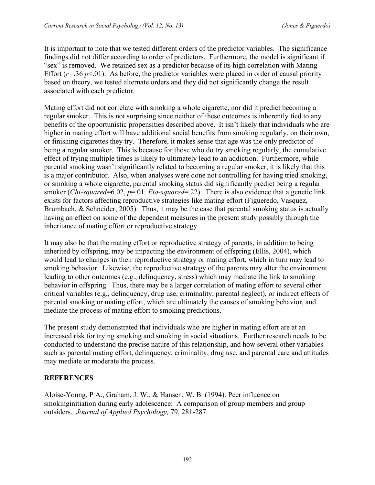It is important to note that we tested different orders of the predictor variables. The significance findings did not differ according to order of predictors. Furthermore, the model is significant if "sex" is removed. We retained sex as a predictor because of its high correlation with Mating Effort  $(r=36 \, p<0.01)$ . As before, the predictor variables were placed in order of causal priority based on theory, we tested alternate orders and they did not significantly change the result associated with each predictor.

Mating effort did not correlate with smoking a whole cigarette, nor did it predict becoming a regular smoker. This is not surprising since neither of these outcomes is inherently tied to any benefits of the opportunistic propensities described above. It isn't likely that individuals who are higher in mating effort will have additional social benefits from smoking regularly, on their own, or finishing cigarettes they try. Therefore, it makes sense that age was the only predictor of being a regular smoker. This is because for those who do try smoking regularly, the cumulative effect of trying multiple times is likely to ultimately lead to an addiction. Furthermore, while parental smoking wasn't significantly related to becoming a regular smoker, it is likely that this is a major contributor. Also, when analyses were done not controlling for having tried smoking, or smoking a whole cigarette, parental smoking status did significantly predict being a regular smoker (*Chi-squared*=6.02, *p*=.01, *Eta-squared*=.22). There is also evidence that a genetic link exists for factors affecting reproductive strategies like mating effort (Figueredo, Vasquez, Brumbach, & Schneider, 2005). Thus, it may be the case that parental smoking status is actually having an effect on some of the dependent measures in the present study possibly through the inheritance of mating effort or reproductive strategy.

It may also be that the mating effort or reproductive strategy of parents, in addition to being inherited by offspring, may be impacting the environment of offspring (Ellis, 2004), which would lead to changes in their reproductive strategy or mating effort, which in turn may lead to smoking behavior. Likewise, the reproductive strategy of the parents may alter the environment leading to other outcomes (e.g., delinquency, stress) which may mediate the link to smoking behavior in offspring. Thus, there may be a larger correlation of mating effort to several other critical variables (e.g., delinquency, drug use, criminality, parental neglect), or indirect effects of parental smoking or mating effort, which are ultimately the causes of smoking behavior, and mediate the process of mating effort to smoking predictions.

The present study demonstrated that individuals who are higher in mating effort are at an increased risk for trying smoking and smoking in social situations. Further research needs to be conducted to understand the precise nature of this relationship, and how several other variables such as parental mating effort, delinquency, criminality, drug use, and parental care and attitudes may mediate or moderate the process.

# **REFERENCES**

Aloise-Young, P A., Graham, J. W., & Hansen, W. B. (1994). Peer influence on smokinginitiation during early adolescence: A comparison of group members and group outsiders. *Journal of Applied Psychology,* 79, 281-287.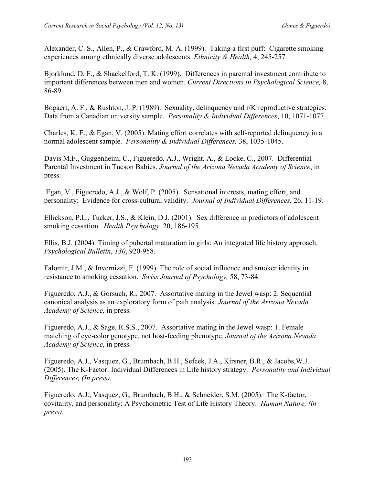Alexander, C. S., Allen, P., & Crawford, M. A. (1999). Taking a first puff: Cigarette smoking experiences among ethnically diverse adolescents. *Ethnicity & Health,* 4, 245-257.

Bjorklund, D. F., & Shackelford, T. K. (1999). Differences in parental investment contribute to important differences between men and women. *Current Directions in Psychological Science,* 8, 86-89.

Bogaert, A. F., & Rushton, J. P. (1989). Sexuality, delinquency and r/K reproductive strategies: Data from a Canadian university sample. *Personality & Individual Differences*, 10, 1071-1077.

Charles, K. E., & Egan, V. (2005). Mating effort correlates with self-reported delinquency in a normal adolescent sample. *Personality & Individual Differences,* 38, 1035-1045.

Davis M.F., Guggenheim, C., Figueredo, A.J., Wright, A., & Locke, C., 2007. Differential Parental Investment in Tucson Babies. *Journal of the Arizona Nevada Academy of Science*, in press.

 Egan, V., Figueredo, A.J., & Wolf, P. (2005). Sensational interests, mating effort, and personality: Evidence for cross-cultural validity. *Journal of Individual Differences,* 26, 11-19.

Ellickson, P.L., Tucker, J.S., & Klein, D.J. (2001). Sex difference in predictors of adolescent smoking cessation. *Health Psychology,* 20, 186-195.

Ellis, B.J. (2004). Timing of pubertal maturation in girls: An integrated life history approach. *Psychological Bulletin*, *130*, 920-958.

Falomir, J.M., & Invernizzi, F. (1999). The role of social influence and smoker identity in resistance to smoking cessation. *Swiss Journal of Psychology,* 58, 73-84.

Figueredo, A.J., & Gorsuch, R., 2007. Assortative mating in the Jewel wasp: 2. Sequential canonical analysis as an exploratory form of path analysis. *Journal of the Arizona Nevada Academy of Science*, in press.

Figueredo, A.J., & Sage, R.S.S., 2007. Assortative mating in the Jewel wasp: 1. Female matching of eye-color genotype, not host-feeding phenotype. *Journal of the Arizona Nevada Academy of Science*, in press.

Figueredo, A.J., Vasquez, G., Brumbach, B.H., Sefcek, J.A., Kirsner, B.R., & Jacobs,W.J. (2005). The K-Factor: Individual Differences in Life history strategy. *Personality and Individual Differences, (In press).*

Figueredo, A.J., Vasquez, G.*,* Brumbach, B.H., & Schneider, S.M. (2005). The K-factor, covitality, and personality: A Psychometric Test of Life History Theory. *Human Nature, (in press).*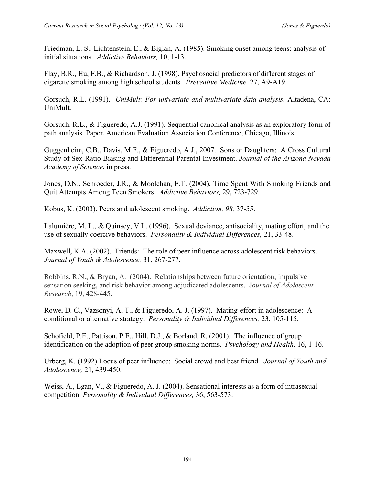Friedman, L. S., Lichtenstein, E., & Biglan, A. (1985). Smoking onset among teens: analysis of initial situations. *Addictive Behaviors,* 10, 1-13.

Flay, B.R., Hu, F.B., & Richardson, J. (1998). Psychosocial predictors of different stages of cigarette smoking among high school students. *Preventive Medicine,* 27, A9-A19.

Gorsuch, R.L. (1991). *UniMult: For univariate and multivariate data analysis.* Altadena, CA: UniMult.

Gorsuch, R.L., & Figueredo, A.J. (1991). Sequential canonical analysis as an exploratory form of path analysis. Paper. American Evaluation Association Conference, Chicago, Illinois.

Guggenheim, C.B., Davis, M.F., & Figueredo, A.J., 2007. Sons or Daughters: A Cross Cultural Study of Sex-Ratio Biasing and Differential Parental Investment. *Journal of the Arizona Nevada Academy of Science*, in press.

Jones, D.N., Schroeder, J.R., & Moolchan, E.T. (2004). Time Spent With Smoking Friends and Quit Attempts Among Teen Smokers. *Addictive Behaviors,* 29, 723-729.

Kobus, K. (2003). Peers and adolescent smoking. *Addiction, 98,* 37-55.

Lalumière, M. L., & Quinsey, V L. (1996). Sexual deviance, antisociality, mating effort, and the use of sexually coercive behaviors. *Personality & Individual Differences,* 21, 33-48.

Maxwell, K.A. (2002). Friends: The role of peer influence across adolescent risk behaviors. *Journal of Youth & Adolescence,* 31, 267-277.

Robbins, R.N., & Bryan, A. (2004). Relationships between future orientation, impulsive sensation seeking, and risk behavior among adjudicated adolescents. J*ournal of Adolescent Research*, 19, 428-445.

Rowe, D. C., Vazsonyi, A. T., & Figueredo, A. J. (1997). Mating-effort in adolescence: A conditional or alternative strategy. *Personality & Individual Differences,* 23, 105-115.

Schofield, P.E., Pattison, P.E., Hill, D.J., & Borland, R. (2001). The influence of group identification on the adoption of peer group smoking norms. *Psychology and Health,* 16, 1-16.

Urberg, K. (1992) Locus of peer influence: Social crowd and best friend. *Journal of Youth and Adolescence,* 21, 439-450.

Weiss, A., Egan, V., & Figueredo, A. J. (2004). Sensational interests as a form of intrasexual competition. *Personality & Individual Differences,* 36, 563-573.